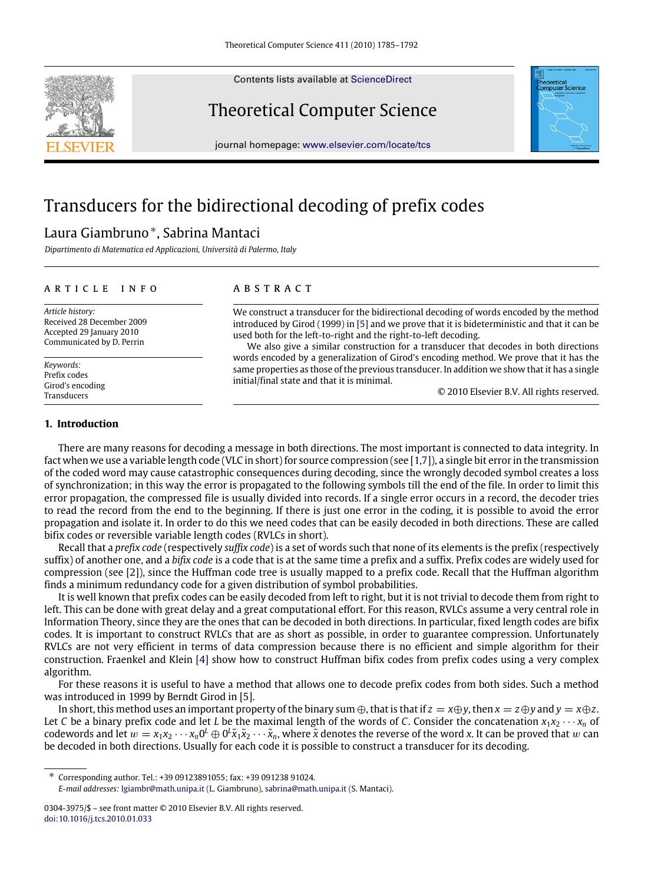Contents lists available at [ScienceDirect](http://www.elsevier.com/locate/tcs)

# Theoretical Computer Science

journal homepage: [www.elsevier.com/locate/tcs](http://www.elsevier.com/locate/tcs)

# Transducers for the bidirectional decoding of prefix codes

# Laura Giambruno[∗](#page-0-0) , Sabrina Mantaci

*Dipartimento di Matematica ed Applicazioni, Università di Palermo, Italy*

### a r t i c l e i n f o

*Article history:* Received 28 December 2009 Accepted 29 January 2010 Communicated by D. Perrin

*Keywords:* Prefix codes Girod's encoding Transducers

# a b s t r a c t

We construct a transducer for the bidirectional decoding of words encoded by the method introduced by Girod (1999) in [\[5\]](#page-7-0) and we prove that it is bideterministic and that it can be used both for the left-to-right and the right-to-left decoding.

We also give a similar construction for a transducer that decodes in both directions words encoded by a generalization of Girod's encoding method. We prove that it has the same properties as those of the previous transducer. In addition we show that it has a single initial/final state and that it is minimal.

© 2010 Elsevier B.V. All rights reserved.

# **1. Introduction**

There are many reasons for decoding a message in both directions. The most important is connected to data integrity. In fact when we use a variable length code (VLC in short) for source compression (see [\[1,](#page-7-1)[7\]](#page-7-2)), a single bit error in the transmission of the coded word may cause catastrophic consequences during decoding, since the wrongly decoded symbol creates a loss of synchronization; in this way the error is propagated to the following symbols till the end of the file. In order to limit this error propagation, the compressed file is usually divided into records. If a single error occurs in a record, the decoder tries to read the record from the end to the beginning. If there is just one error in the coding, it is possible to avoid the error propagation and isolate it. In order to do this we need codes that can be easily decoded in both directions. These are called bifix codes or reversible variable length codes (RVLCs in short).

Recall that a *prefix code* (respectively *suffix code*) is a set of words such that none of its elements is the prefix (respectively suffix) of another one, and a *bifix code* is a code that is at the same time a prefix and a suffix. Prefix codes are widely used for compression (see [\[2\]](#page-7-3)), since the Huffman code tree is usually mapped to a prefix code. Recall that the Huffman algorithm finds a minimum redundancy code for a given distribution of symbol probabilities.

It is well known that prefix codes can be easily decoded from left to right, but it is not trivial to decode them from right to left. This can be done with great delay and a great computational effort. For this reason, RVLCs assume a very central role in Information Theory, since they are the ones that can be decoded in both directions. In particular, fixed length codes are bifix codes. It is important to construct RVLCs that are as short as possible, in order to guarantee compression. Unfortunately RVLCs are not very efficient in terms of data compression because there is no efficient and simple algorithm for their construction. Fraenkel and Klein [\[4\]](#page-7-4) show how to construct Huffman bifix codes from prefix codes using a very complex algorithm.

For these reasons it is useful to have a method that allows one to decode prefix codes from both sides. Such a method was introduced in 1999 by Berndt Girod in [\[5\]](#page-7-5).

In short, this method uses an important property of the binary sum  $\oplus$ , that is that if  $z = x \oplus y$ , then  $x = z \oplus y$  and  $y = x \oplus z$ . Let *C* be a binary prefix code and let *L* be the maximal length of the words of *C*. Consider the concatenation  $x_1x_2 \cdots x_n$  of codewords and let  $w = x_1x_2 \cdots x_n0^L \oplus 0^L \tilde{x}_1 \tilde{x}_2 \cdots \tilde{x}_n$ , where  $\tilde{x}$  denotes the reverse of the word *x*. It can be proved that  $w$  can be decoded in both directions. Usually for each code it is possible to construct a transducer for its decoding.

<span id="page-0-0"></span>∗ Corresponding author. Tel.: +39 09123891055; fax: +39 091238 91024.

*E-mail addresses:* [lgiambr@math.unipa.it](mailto:lgiambr@math.unipa.it) (L. Giambruno), [sabrina@math.unipa.it](mailto:sabrina@math.unipa.it) (S. Mantaci).



<sup>0304-3975/\$ –</sup> see front matter © 2010 Elsevier B.V. All rights reserved. [doi:10.1016/j.tcs.2010.01.033](http://dx.doi.org/10.1016/j.tcs.2010.01.033)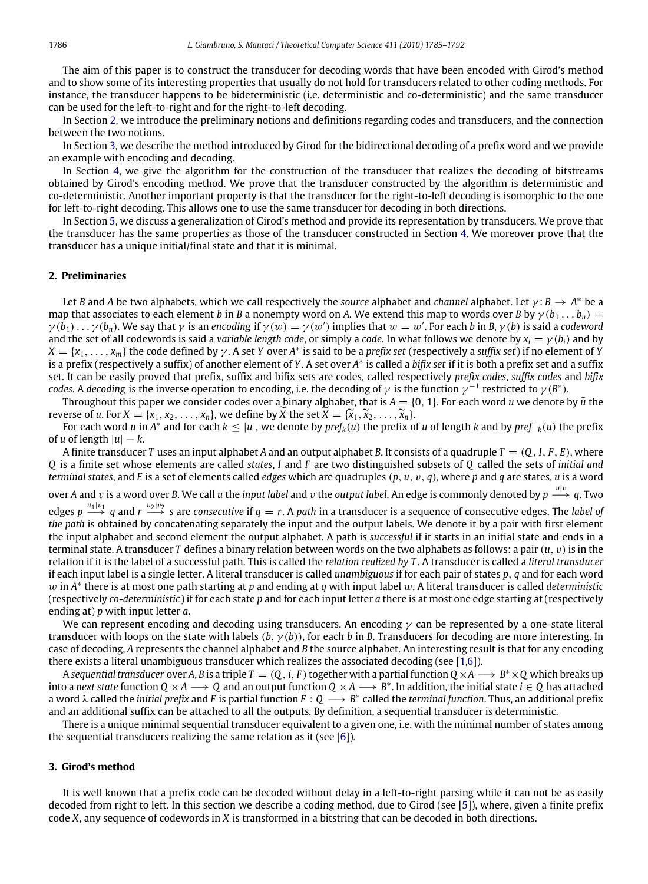The aim of this paper is to construct the transducer for decoding words that have been encoded with Girod's method and to show some of its interesting properties that usually do not hold for transducers related to other coding methods. For instance, the transducer happens to be bideterministic (i.e. deterministic and co-deterministic) and the same transducer can be used for the left-to-right and for the right-to-left decoding.

In Section [2,](#page-1-0) we introduce the preliminary notions and definitions regarding codes and transducers, and the connection between the two notions.

In Section [3,](#page-1-1) we describe the method introduced by Girod for the bidirectional decoding of a prefix word and we provide an example with encoding and decoding.

In Section [4,](#page-3-0) we give the algorithm for the construction of the transducer that realizes the decoding of bitstreams obtained by Girod's encoding method. We prove that the transducer constructed by the algorithm is deterministic and co-deterministic. Another important property is that the transducer for the right-to-left decoding is isomorphic to the one for left-to-right decoding. This allows one to use the same transducer for decoding in both directions.

In Section [5,](#page-5-0) we discuss a generalization of Girod's method and provide its representation by transducers. We prove that the transducer has the same properties as those of the transducer constructed in Section [4.](#page-3-0) We moreover prove that the transducer has a unique initial/final state and that it is minimal.

# <span id="page-1-0"></span>**2. Preliminaries**

Let *B* and *A* be two alphabets, which we call respectively the *source* alphabet and *channel* alphabet. Let  $\gamma$ : *B*  $\rightarrow$  *A*<sup>\*</sup> be a map that associates to each element *b* in *B* a nonempty word on *A*. We extend this map to words over *B* by  $\gamma(b_1 \dots b_n)$  =  $\gamma(b_1)\ldots\gamma(b_n)$ . We say that  $\gamma$  is an *encoding* if  $\gamma(w)=\gamma(w')$  implies that  $w=w'$ . For each b in B,  $\gamma(b)$  is said a codeword and the set of all codewords is said a *variable length code*, or simply a *code*. In what follows we denote by  $x_i = \gamma(b_i)$  and by  $X = \{x_1, \ldots, x_m\}$  the code defined by  $\gamma$ . A set *Y* over A\* is said to be a *prefix set* (respectively a *suffix set*) if no element of *Y* is a prefix (respectively a suffix) of another element of *Y*. A set over *A* ∗ is called a *bifix set* if it is both a prefix set and a suffix set. It can be easily proved that prefix, suffix and bifix sets are codes, called respectively *prefix codes*, *suffix codes* and *bifix codes.* A *decoding* is the inverse operation to encoding, i.e. the decoding of  $\gamma$  is the function  $\gamma^{-1}$  restricted to  $\gamma$  (*B*<sup>\*</sup>).

Throughout this paper we consider codes over a binary alphabet, that is  $A = \{0, 1\}$ . For each word *u* we denote by  $\tilde{u}$  the reverse of *u*. For  $X = \{x_1, x_2, \ldots, x_n\}$ , we define by  $\overline{X}$  the set  $\overline{X} = \{\overline{x}_1, \overline{x}_2, \ldots, \overline{x}_n\}$ .

For each word *u* in  $A^*$  and for each  $k \le |u|$ , we denote by  $pref_k(u)$  the prefix of *u* of length *k* and by  $pref_{-k}(u)$  the prefix of *u* of length  $|u| - k$ .

A finite transducer *T* uses an input alphabet *A* and an output alphabet *B*. It consists of a quadruple *T* = (*Q*, *I*, *F* , *E*), where *Q* is a finite set whose elements are called *states*, *I* and *F* are two distinguished subsets of *Q* called the sets of *initial and terminal states*, and *E* is a set of elements called *edges* which are quadruples (*p*, *u*, v, *q*), where *p* and *q* are states, *u* is a word

over A and v is a word over B. We call *u* the *input label* and v the *output label*. An edge is commonly denoted by  $p \stackrel{u|v}{\longrightarrow} q$ . Two

 $\deg$ es  $p \stackrel{u_1|v_1}{\longrightarrow} q$  and  $r \stackrel{u_2|v_2}{\longrightarrow} s$  are *consecutive* if  $q=r$ . A path in a transducer is a sequence of consecutive edges. The *label of the path* is obtained by concatenating separately the input and the output labels. We denote it by a pair with first element the input alphabet and second element the output alphabet. A path is *successful* if it starts in an initial state and ends in a terminal state. A transducer *T* defines a binary relation between words on the two alphabets as follows: a pair (*u*, v)is in the relation if it is the label of a successful path. This is called the *relation realized by T* . A transducer is called a *literal transducer* if each input label is a single letter. A literal transducer is called *unambiguous* if for each pair of states *p*, *q* and for each word w in *A* ∗ there is at most one path starting at *p* and ending at *q* with input label w. A literal transducer is called *deterministic* (respectively *co-deterministic*) if for each state *p* and for each input letter *a* there is at most one edge starting at (respectively ending at) *p* with input letter *a*.

We can represent encoding and decoding using transducers. An encoding  $\gamma$  can be represented by a one-state literal transducer with loops on the state with labels  $(b, \gamma(b))$ , for each *b* in *B*. Transducers for decoding are more interesting. In case of decoding, *A* represents the channel alphabet and *B* the source alphabet. An interesting result is that for any encoding there exists a literal unambiguous transducer which realizes the associated decoding (see [\[1](#page-7-1)[,6\]](#page-7-6)).

A sequential transducer over A, B is a triple  $T=(Q,i,F)$  together with a partial function  $Q\times A\longrightarrow B^*\times Q$  which breaks up into a *next state* function  $Q \times A \longrightarrow Q$  and an output function  $Q \times A \longrightarrow B^*$ . In addition, the initial state  $i \in Q$  has attached a word  $\lambda$  called the *initial prefix* and *F* is partial function *F* : Q → *B*<sup>\*</sup> called the *terminal function*. Thus, an additional prefix and an additional suffix can be attached to all the outputs. By definition, a sequential transducer is deterministic.

There is a unique minimal sequential transducer equivalent to a given one, i.e. with the minimal number of states among the sequential transducers realizing the same relation as it (see [\[6\]](#page-7-6)).

### <span id="page-1-1"></span>**3. Girod's method**

It is well known that a prefix code can be decoded without delay in a left-to-right parsing while it can not be as easily decoded from right to left. In this section we describe a coding method, due to Girod (see [\[5\]](#page-7-5)), where, given a finite prefix code *X*, any sequence of codewords in *X* is transformed in a bitstring that can be decoded in both directions.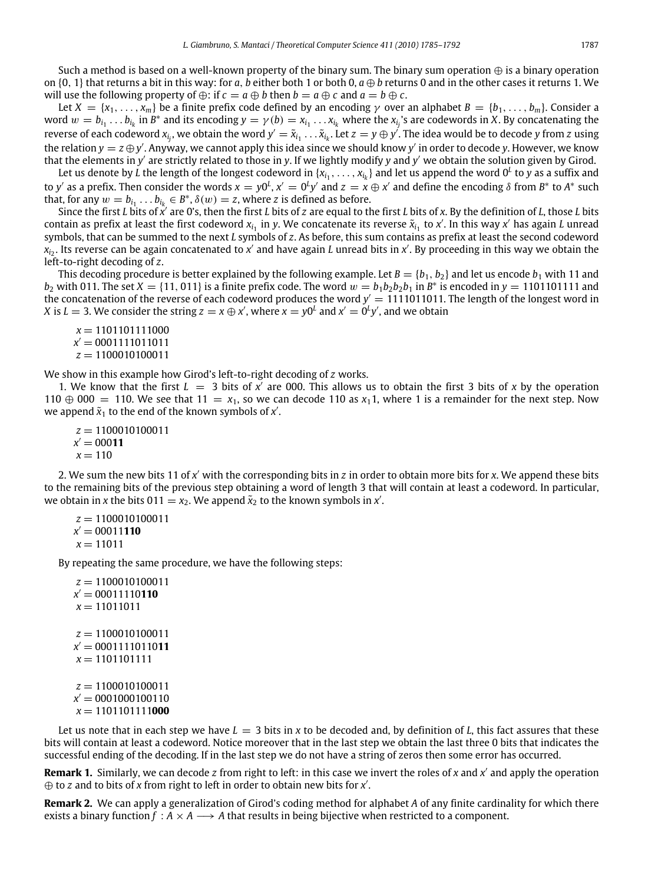Such a method is based on a well-known property of the binary sum. The binary sum operation  $\oplus$  is a binary operation on  $\{0, 1\}$  that returns a bit in this way: for *a*, *b* either both 1 or both 0,  $a \oplus b$  returns 0 and in the other cases it returns 1. We will use the following property of  $\oplus$ : if  $c = a \oplus b$  then  $b = a \oplus c$  and  $a = b \oplus c$ .

Let  $X = \{x_1, \ldots, x_m\}$  be a finite prefix code defined by an encoding  $\gamma$  over an alphabet  $B = \{b_1, \ldots, b_m\}$ . Consider a word  $w = b_{i_1} \ldots b_{i_k}$  in  $B^*$  and its encoding  $y = \gamma(b) = x_{i_1} \ldots x_{i_k}$  where the  $x_{i_j}$ 's are codewords in X. By concatenating the reverse of each codeword  $x_{i_j}$ , we obtain the word  $y'=\tilde x_{i_1}\dots\tilde x_{i_k}.$  Let  $z=y\oplus y'$ . The idea would be to decode  $y$  from  $z$  using the relation  $y=z\oplus y'$ . Anyway, we cannot apply this idea since we should know  $y'$  in order to decode y. However, we know that the elements in y' are strictly related to those in y. If we lightly modify y and y' we obtain the solution given by Girod.

Let us denote by L the length of the longest codeword in  $\{x_{i_1},\ldots,x_{i_k}\}$  and let us append the word  $0^L$  to  $y$  as a suffix and to y' as a prefix. Then consider the words  $x = y0^L$ ,  $x' = 0^Ly'$  and  $z = x \oplus x'$  and define the encoding  $\delta$  from  $B^*$  to  $A^*$  such that, for any  $w = b_{i_1} \dots b_{i_k} \in B^*$ ,  $\delta(w) = z$ , where *z* is defined as before.

Since the first *L* bits of  $x'$  are 0's, then the first *L* bits of *z* are equal to the first *L* bits of *x*. By the definition of *L*, those *L* bits contain as prefix at least the first codeword  $x_{i_1}$  in y. We concatenate its reverse  $\tilde{x}_{i_1}$  to x'. In this way x' has again *L* unread symbols, that can be summed to the next *L* symbols of *z*. As before, this sum contains as prefix at least the second codeword *x*<sub>i2</sub>. Its reverse can be again concatenated to *x'* and have again *L* unread bits in *x'*. By proceeding in this way we obtain the left-to-right decoding of *z*.

This decoding procedure is better explained by the following example. Let  $B = \{b_1, b_2\}$  and let us encode  $b_1$  with 11 and  $b_2$  with 011. The set  $X = \{11, 011\}$  is a finite prefix code. The word  $w = b_1b_2b_2b_1$  in  $B^*$  is encoded in  $y = 1101101111$  and the concatenation of the reverse of each codeword produces the word  $y' = 1111011011$ . The length of the longest word in *X* is  $L = 3$ . We consider the string  $z = x \oplus x'$ , where  $x = y0^L$  and  $x' = 0^L y'$ , and we obtain

```
x = 1101101111000x' = 0001111011011z = 1100010100011
```
We show in this example how Girod's left-to-right decoding of *z* works.

1. We know that the first  $L = 3$  bits of  $x'$  are 000. This allows us to obtain the first 3 bits of x by the operation 110  $\oplus$  000 = 110. We see that 11 =  $x_1$ , so we can decode 110 as  $x_1$ 1, where 1 is a remainder for the next step. Now we append  $\tilde{x}_1$  to the end of the known symbols of  $x'$ .

```
z = 1100010100011
x' = 00011x = 110
```
2. We sum the new bits 11 of x' with the corresponding bits in z in order to obtain more bits for x. We append these bits to the remaining bits of the previous step obtaining a word of length 3 that will contain at least a codeword. In particular, we obtain in *x* the bits  $011 = x_2$ . We append  $\tilde{x}_2$  to the known symbols in *x'*.

```
z = 1100010100011
x' = 00011110x = 11011
```
By repeating the same procedure, we have the following steps:

```
z = 1100010100011x
0 = 00011110110
x = 11011011z = 1100010100011
x
0 = 0001111011011
x = 1101101111z = 1100010100011x' = 0001000100110x = 1101101111000
```
Let us note that in each step we have  $L = 3$  bits in x to be decoded and, by definition of L, this fact assures that these bits will contain at least a codeword. Notice moreover that in the last step we obtain the last three 0 bits that indicates the successful ending of the decoding. If in the last step we do not have a string of zeros then some error has occurred.

**Remark 1.** Similarly, we can decode *z* from right to left: in this case we invert the roles of *x* and *x'* and apply the operation ⊕ to *z* and to bits of *x* from right to left in order to obtain new bits for *x'*.

**Remark 2.** We can apply a generalization of Girod's coding method for alphabet *A* of any finite cardinality for which there exists a binary function  $f : A \times A \longrightarrow A$  that results in being bijective when restricted to a component.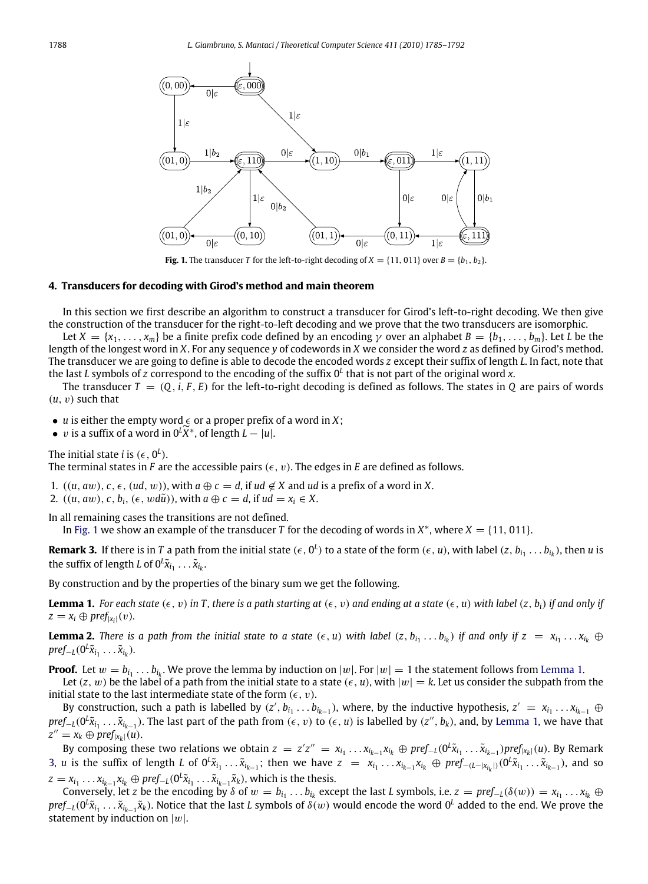<span id="page-3-1"></span>

**Fig. 1.** The transducer *T* for the left-to-right decoding of  $X = \{11, 011\}$  over  $B = \{b_1, b_2\}$ .

#### <span id="page-3-0"></span>**4. Transducers for decoding with Girod's method and main theorem**

In this section we first describe an algorithm to construct a transducer for Girod's left-to-right decoding. We then give the construction of the transducer for the right-to-left decoding and we prove that the two transducers are isomorphic.

Let  $X = \{x_1, \ldots, x_m\}$  be a finite prefix code defined by an encoding  $\gamma$  over an alphabet  $B = \{b_1, \ldots, b_m\}$ . Let *L* be the length of the longest word in *X*. For any sequence *y* of codewords in *X* we consider the word *z* as defined by Girod's method. The transducer we are going to define is able to decode the encoded words *z* except their suffix of length *L*. In fact, note that the last *L* symbols of *z* correspond to the encoding of the suffix 0*<sup>L</sup>* that is not part of the original word *x*.

The transducer  $T = (Q, i, F, E)$  for the left-to-right decoding is defined as follows. The states in  $Q$  are pairs of words  $(u, v)$  such that

• *u* is either the empty word  $\epsilon$  or a proper prefix of a word in *X*;

- *v* is a suffix of a word in  $0^L\widetilde{X}^*$ , of length  $L |u|$ .
- The initial state *i* is  $(\epsilon, 0^L)$ .

The terminal states in *F* are the accessible pairs  $(\epsilon, v)$ . The edges in *E* are defined as follows.

- 1.  $((u, aw), c, \epsilon, (ud, w))$ , with  $a \oplus c = d$ , if  $ud \notin X$  and  $ud$  is a prefix of a word in X.
- 2.  $((u, aw), c, b_i, (\epsilon, wd\tilde{u}))$ , with  $a \oplus c = d$ , if  $ud = x_i \in X$ .

In all remaining cases the transitions are not defined.

In [Fig.](#page-3-1) [1](#page-3-1) we show an example of the transducer *T* for the decoding of words in  $X^*$ , where  $X = \{11, 011\}$ .

<span id="page-3-3"></span>**Remark 3.** If there is in T a path from the initial state  $(\epsilon, 0^L)$  to a state of the form  $(\epsilon, u)$ , with label  $(z, b_{i_1} \ldots b_{i_k})$ , then  $u$  is the suffix of length *L* of  $0^L \tilde{x}_{i_1} \ldots \tilde{x}_{i_k}$ .

By construction and by the properties of the binary sum we get the following.

<span id="page-3-2"></span>**Lemma 1.** For each state  $(\epsilon, v)$  in T, there is a path starting at  $(\epsilon, v)$  and ending at a state  $(\epsilon, u)$  with label  $(z, b_i)$  if and only if  $z = x_i \oplus \text{pref}_{|x_i|}(v)$ .

<span id="page-3-4"></span>**Lemma 2.** There is a path from the initial state to a state  $(\epsilon, u)$  with label  $(z, b_{i_1} \ldots b_{i_k})$  if and only if  $z = x_{i_1} \ldots x_{i_k} \oplus$  $pref_{-L}(0^L\tilde{x}_{i_1}\ldots\tilde{x}_{i_k}).$ 

**Proof.** Let  $w = b_{i_1} \ldots b_{i_k}$ . We prove the lemma by induction on  $|w|$ . For  $|w| = 1$  the statement follows from [Lemma](#page-3-2) [1.](#page-3-2)

Let  $(z, w)$  be the label of a path from the initial state to a state  $(\epsilon, u)$ , with  $|w| = k$ . Let us consider the subpath from the initial state to the last intermediate state of the form  $(\epsilon, v)$ .

By construction, such a path is labelled by  $(z', b_{i_1} \ldots b_{i_{k-1}})$ , where, by the inductive hypothesis,  $z' = x_{i_1} \ldots x_{i_{k-1}} \oplus$  $\text{pref}_{-L}(0^L\tilde{x}_{i_1}\ldots\tilde{x}_{i_{k-1}}).$  The last part of the path from  $(\epsilon,\,v)$  to  $(\epsilon,\,u)$  is labelled by  $(z'',\,b_k),$  and, by [Lemma](#page-3-2) [1,](#page-3-2) we have that  $z'' = x_k \oplus \text{pref}_{|x_k|}(u).$ 

By composing these two relations we obtain  $z = z'z'' = x_{i_1} \ldots x_{i_{k-1}} x_{i_k} \oplus pref_{-L}(0^L \tilde{x}_{i_1} \ldots \tilde{x}_{i_{k-1}}) pref_{|x_k|}(u)$ . By Remark [3,](#page-3-3) *u* is the suffix of length *L* of  $0^L \tilde{x}_{i_1} \ldots \tilde{x}_{i_{k-1}}$ ; then we have  $z = x_{i_1} \ldots x_{i_{k-1}} x_{i_k} \oplus pref_{-(L-|x_{i_k}|)}(0^L \tilde{x}_{i_1} \ldots \tilde{x}_{i_{k-1}})$ , and so  $z = x_{i_1} \ldots x_{i_{k-1}} x_{i_k} \oplus \text{pref}_{-L} (0^L \tilde{x}_{i_1} \ldots \tilde{x}_{i_{k-1}} \tilde{x}_k)$ , which is the thesis.

Conversely, let z be the encoding by  $\delta$  of  $w = b_{i_1} \ldots b_{i_k}$  except the last L symbols, i.e.  $z = pref_{-l}(\delta(w)) = x_{i_1} \ldots x_{i_k} \oplus$ *pref*−*L*(0 *L x*˜*i*1 . . . *<sup>x</sup>*˜*<sup>i</sup>k*−<sup>1</sup> *x*˜*k*). Notice that the last *L* symbols of δ(w) would encode the word 0*<sup>L</sup>* added to the end. We prove the statement by induction on  $|w|$ .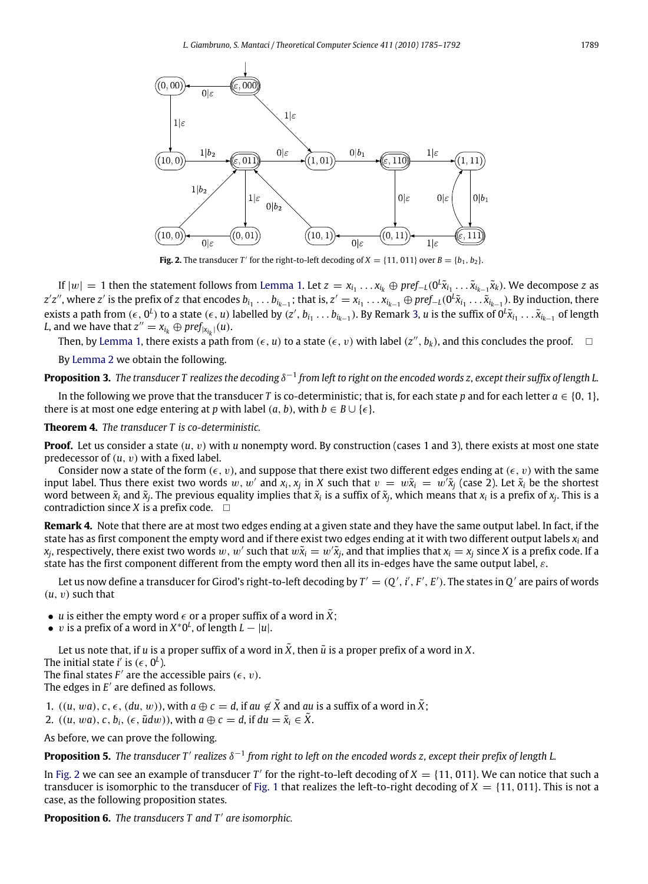<span id="page-4-0"></span>

**Fig. 2.** The transducer *T*<sup> $\prime$ </sup> for the right-to-left decoding of *X* = {11, 011} over *B* = {*b*<sub>1</sub>, *b*<sub>2</sub>}.

If  $|w|=1$  then the statement follows from [Lemma](#page-3-2) [1.](#page-3-2) Let  $z=x_{i_1}\ldots x_{i_k}\oplus pref_{-L}(0^L\tilde{x}_{i_1}\ldots\tilde{x}_{i_{k-1}}\tilde{x}_k)$ . We decompose z as  $z'z''$ , where  $z'$  is the prefix of  $z$  that encodes  $b_{i_1}\ldots b_{i_{k-1}}$ ; that is,  $z'=x_{i_1}\ldots x_{i_{k-1}}\oplus pref_{-L}(0^L\tilde{x}_{i_1}\ldots \tilde{x}_{i_{k-1}})$ . By induction, there exists a path from  $(\epsilon, 0^L)$  to a state  $(\epsilon, u)$  labelled by  $(z', b_{i_1} \ldots b_{i_{k-1}})$ . By Remark [3,](#page-3-3) u is the suffix of  $0^L \tilde{x}_{i_1} \ldots \tilde{x}_{i_{k-1}}$  of length L, and we have that  $z'' = x_{i_k} \oplus \text{pref}_{|x_{i_k}|}(u)$ .

Then, by [Lemma](#page-3-2) [1,](#page-3-2) there exists a path from ( $\epsilon$ ,  $u$ ) to a state ( $\epsilon$ ,  $v$ ) with label ( $z''$ ,  $b_k$ ), and this concludes the proof.  $\hfill \Box$ 

By [Lemma](#page-3-4) [2](#page-3-4) we obtain the following.

**Proposition 3.** The transducer T realizes the decoding δ<sup>−1</sup> from left to right on the encoded words z, except their suffix of length L.

In the following we prove that the transducer *T* is co-deterministic; that is, for each state *p* and for each letter  $a \in \{0, 1\}$ , there is at most one edge entering at *p* with label  $(a, b)$ , with  $b \in B \cup \{\epsilon\}$ .

#### <span id="page-4-2"></span>**Theorem 4.** *The transducer T is co-deterministic.*

**Proof.** Let us consider a state  $(u, v)$  with *u* nonempty word. By construction (cases 1 and 3), there exists at most one state predecessor of (*u*, v) with a fixed label.

Consider now a state of the form  $(\epsilon, v)$ , and suppose that there exist two different edges ending at  $(\epsilon, v)$  with the same input label. Thus there exist two words  $w, w'$  and  $x_i, x_j$  in X such that  $v = w\tilde{x}_i = w'\tilde{x}_j$  (case 2). Let  $\tilde{x}_i$  be the shortest word between  $\tilde{x}_i$  and  $\tilde{x}_j$ . The previous equality implies that  $\tilde{x}_i$  is a suffix of  $\tilde{x}_j$ , which means that  $x_i$  is a prefix of  $x_j$ . This is a contradiction since *X* is a prefix code.  $\Box$ 

<span id="page-4-3"></span>**Remark 4.** Note that there are at most two edges ending at a given state and they have the same output label. In fact, if the state has as first component the empty word and if there exist two edges ending at it with two different output labels *x<sup>i</sup>* and  $x_j$ , respectively, there exist two words  $w$ ,  $w'$  such that  $w\tilde x_i=w'\tilde x_j$ , and that implies that  $x_i=x_j$  since  $X$  is a prefix code. If a state has the first component different from the empty word then all its in-edges have the same output label, ε.

Let us now define a transducer for Girod's right-to-left decoding by  $T'=(Q',i',F',E').$  The states in  $Q'$  are pairs of words  $(u, v)$  such that

- *u* is either the empty word  $\epsilon$  or a proper suffix of a word in  $\hat{X}$ ;
- *v* is a prefix of a word in  $X^*0^L$ , of length  $L |u|$ .

Let us note that, if *u* is a proper suffix of a word in  $\ddot{X}$ , then  $\ddot{u}$  is a proper prefix of a word in X.

The initial state *i'* is  $(\epsilon, 0^L)$ .

The final states  $F'$  are the accessible pairs  $(\epsilon, v)$ . The edges in  $E'$  are defined as follows.

1.  $((u, wa), c, \epsilon, (du, w))$ , with  $a \oplus c = d$ , if  $au \notin X$  and  $au$  is a suffix of a word in X;

2.  $((u, wa), c, b_i, (\epsilon, \tilde{u}dw))$ , with  $a \oplus c = d$ , if  $du = \tilde{x}_i \in \tilde{X}$ .

As before, we can prove the following.

<span id="page-4-4"></span>Proposition 5. The transducer T' realizes  $\delta^{-1}$  from right to left on the encoded words z, except their prefix of length L.

In [Fig.](#page-4-0) [2](#page-4-0) we can see an example of transducer T' for the right-to-left decoding of  $X = \{11, 011\}$ . We can notice that such a transducer is isomorphic to the transducer of [Fig.](#page-3-1) [1](#page-3-1) that realizes the left-to-right decoding of  $X = \{11, 011\}$ . This is not a case, as the following proposition states.

<span id="page-4-1"></span>Proposition 6. The transducers T and T' are isomorphic.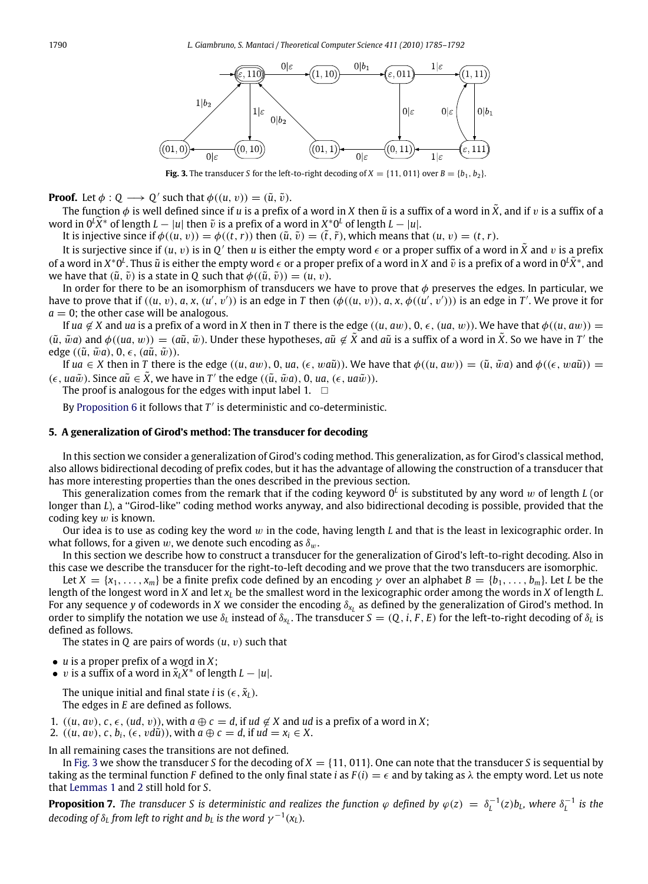<span id="page-5-1"></span>

**Fig. 3.** The transducer *S* for the left-to-right decoding of  $X = \{11, 011\}$  over  $B = \{b_1, b_2\}$ .

**Proof.** Let  $\phi : Q \longrightarrow Q'$  such that  $\phi((u, v)) = (\tilde{u}, \tilde{v})$ .

The function  $\phi$  is well defined since if *u* is a prefix of a word in *X* then  $\tilde{u}$  is a suffix of a word in  $\tilde{X}$ , and if *v* is a suffix of a word in  $0^L\widetilde{X}^*$  of length  $L - |u|$  then  $\widetilde{v}$  is a prefix of a word in  $X^*0^L$  of length  $L - |u|$ .<br>
It is injective since if  $\phi((u, v)) = \phi((t, r))$  then  $(\widetilde{v}, \widetilde{v}) = (\widetilde{t}, \widetilde{v})$  which manne then

It is injective since if  $\phi((u, v)) = \phi((t, r))$  then  $(\tilde{u}, \tilde{v}) = (\tilde{t}, \tilde{r})$ , which means that  $(u, v) = (t, r)$ .

It is surjective since if  $(u, v)$  is in  $Q'$  then *u* is either the empty word  $\epsilon$  or a proper suffix of a word in  $\tilde X$  and  $v$  is a prefix of a word in  $X^*0^L$ . Thus  $\tilde u$  is either the empty word  $\epsilon$  or a proper prefix of a word in  $X$  and  $\tilde v$  is a prefix of a word in  $0^L\tilde X^*$ , and we have that  $(\tilde{u}, \tilde{v})$  is a state in *Q* such that  $\phi((\tilde{u}, \tilde{v})) = (u, v)$ .

In order for there to be an isomorphism of transducers we have to prove that  $\phi$  preserves the edges. In particular, we have to prove that if  $((u, v), a, x, (u', v'))$  is an edge in T then  $(\phi((u, v)), a, x, \phi((u', v')))$  is an edge in T'. We prove it for  $a = 0$ ; the other case will be analogous.

If *ua*  $\notin X$  and *ua* is a prefix of a word in *X* then in *T* there is the edge  $((u, aw), 0, \epsilon, (ua, w))$ . We have that  $\phi((u, aw)) =$  $(\tilde{u}, \tilde{w}a)$  and  $\phi((ua, w)) = (a\tilde{u}, \tilde{w})$ . Under these hypotheses,  $a\tilde{u} \notin \tilde{X}$  and  $a\tilde{u}$  is a suffix of a word in  $\tilde{X}$ . So we have in  $T'$  the edge  $((\tilde{u}, \tilde{w}a), 0, \epsilon, (a\tilde{u}, \tilde{w})).$ 

If  $ua \in X$  then in *T* there is the edge  $((u, aw), 0, ua, (\epsilon, wa\tilde{u}))$ . We have that  $\phi((u, aw)) = (\tilde{u}, \tilde{w}a)$  and  $\phi((\epsilon, wa\tilde{u})) =$  $(\epsilon, u \alpha \tilde{w})$ . Since  $a\tilde{u} \in \tilde{X}$ , we have in *T'* the edge  $((\tilde{u}, \tilde{w}a), 0, ua, (\epsilon, ua\tilde{w}))$ .

The proof is analogous for the edges with input label 1.  $\Box$ 

By [Proposition](#page-4-1)  $6$  it follows that  $T'$  is deterministic and co-deterministic.

#### <span id="page-5-0"></span>**5. A generalization of Girod's method: The transducer for decoding**

In this section we consider a generalization of Girod's coding method. This generalization, as for Girod's classical method, also allows bidirectional decoding of prefix codes, but it has the advantage of allowing the construction of a transducer that has more interesting properties than the ones described in the previous section.

This generalization comes from the remark that if the coding keyword 0*<sup>L</sup>* is substituted by any word w of length *L* (or longer than *L*), a ''Girod-like'' coding method works anyway, and also bidirectional decoding is possible, provided that the coding key  $w$  is known.

Our idea is to use as coding key the word w in the code, having length *L* and that is the least in lexicographic order. In what follows, for a given w, we denote such encoding as  $\delta_w$ .

In this section we describe how to construct a transducer for the generalization of Girod's left-to-right decoding. Also in this case we describe the transducer for the right-to-left decoding and we prove that the two transducers are isomorphic.

Let  $X = \{x_1, \ldots, x_m\}$  be a finite prefix code defined by an encoding  $\gamma$  over an alphabet  $B = \{b_1, \ldots, b_m\}$ . Let *L* be the length of the longest word in *X* and let *x<sup>L</sup>* be the smallest word in the lexicographic order among the words in *X* of length *L*. For any sequence *y* of codewords in *X* we consider the encoding δ*<sup>x</sup><sup>L</sup>* as defined by the generalization of Girod's method. In order to simplify the notation we use  $\delta_L$  instead of  $\delta_{x_L}$ . The transducer  $S = (Q, i, F, E)$  for the left-to-right decoding of  $\delta_L$  is defined as follows.

The states in *Q* are pairs of words (*u*, v) such that

- *u* is a proper prefix of a word in *X*;
- v is a suffix of a word in  $\tilde{x}_L \tilde{X}^*$  of length  $L |u|$ .

The unique initial and final state *i* is  $(\epsilon, \tilde{x}_l)$ . The edges in *E* are defined as follows.

1.  $((u, av), c, \epsilon, (ud, v))$ , with  $a \oplus c = d$ , if  $ud \notin X$  and  $ud$  is a prefix of a word in X;

2.  $((u, av), c, b_i, (\epsilon, v d\tilde{u}))$ , with  $a \oplus c = d$ , if  $ud = x_i \in X$ .

In all remaining cases the transitions are not defined.

In [Fig.](#page-5-1) [3](#page-5-1) we show the transducer *S* for the decoding of  $X = \{11, 011\}$ . One can note that the transducer *S* is sequential by taking as the terminal function *F* defined to the only final state *i* as  $F(i) = \epsilon$  and by taking as  $\lambda$  the empty word. Let us note that [Lemmas](#page-3-2) [1](#page-3-2) and [2](#page-3-4) still hold for *S*.

<span id="page-5-2"></span>**Proposition 7.** The transducer S is deterministic and realizes the function  $\varphi$  defined by  $\varphi(z) = \delta_L^{-1}(z) b_L$ , where  $\delta_L^{-1}$  is the decoding of  $\delta_L$  from left to right and  $b_L$  is the word  $\gamma^{-1}(x_L)$ .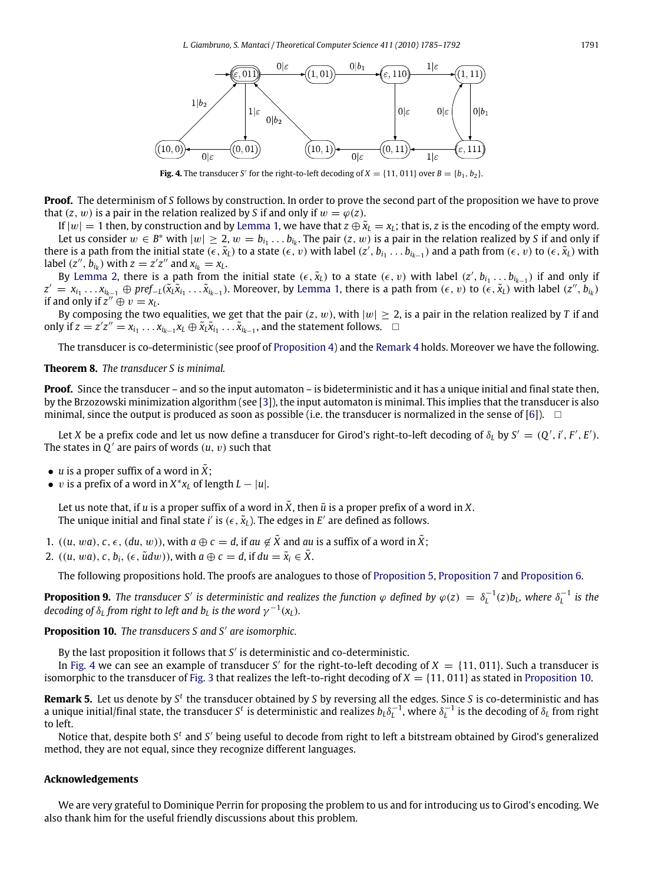<span id="page-6-0"></span>

**Fig. 4.** The transducer *S'* for the right-to-left decoding of  $X = \{11, 011\}$  over  $B = \{b_1, b_2\}$ .

**Proof.** The determinism of *S* follows by construction. In order to prove the second part of the proposition we have to prove that  $(z, w)$  is a pair in the relation realized by *S* if and only if  $w = \varphi(z)$ .

If  $|w| = 1$  then, by construction and by [Lemma](#page-3-2) [1,](#page-3-2) we have that  $z \oplus \tilde{x}_L = x_L$ ; that is, *z* is the encoding of the empty word. Let us consider  $w \in B^*$  with  $|w| \ge 2$ ,  $w = b_{i_1} \ldots b_{i_k}$ . The pair  $(z, w)$  is a pair in the relation realized by *S* if and only if there is a path from the initial state  $(\epsilon, \tilde{x}_L)$  to a state  $(\epsilon, v)$  with label  $(z', b_{i_1} \ldots b_{i_{k-1}})$  and a path from  $(\epsilon, v)$  to  $(\epsilon, \tilde{x}_L)$  with label  $(z'', \hat{b}_{i_k})$  with  $z = z'z''$  and  $x_{i_k} = x_L$ .

By [Lemma](#page-3-4) [2,](#page-3-4) there is a path from the initial state  $(\epsilon, \tilde{x}_L)$  to a state  $(\epsilon, v)$  with label  $(z', b_{i_1} \ldots b_{i_{k-1}})$  if and only if  $z' = x_{i_1} \ldots x_{i_{k-1}} \oplus \text{pref}_{-L}(\tilde{x}_l \tilde{x}_{i_1} \ldots \tilde{x}_{i_{k-1}})$ . Moreover, by [Lemma](#page-3-2) [1,](#page-3-2) there is a path from  $(\epsilon, v)$  to  $(\epsilon, \tilde{x}_L)$  with label  $(z'', b_{i_k})$ if and only if  $z^{\prime\prime} \oplus v = x_L$ .

By composing the two equalities, we get that the pair  $(z, w)$ , with  $|w| \ge 2$ , is a pair in the relation realized by *T* if and only if *z* = *z'z*<sup>*'*</sup> =  $x_{i_1} \ldots x_{i_{k-1}} x_L \oplus \tilde{x}_L \tilde{x}_{i_1} \ldots \tilde{x}_{i_{k-1}}$ , and the statement follows. □

The transducer is co-deterministic (see proof of [Proposition](#page-4-2) [4\)](#page-4-2) and the [Remark](#page-4-3) [4](#page-4-3) holds. Moreover we have the following.

# **Theorem 8.** *The transducer S is minimal.*

**Proof.** Since the transducer – and so the input automaton – is bideterministic and it has a unique initial and final state then, by the Brzozowski minimization algorithm (see [\[3\]](#page-7-7)), the input automaton is minimal. This implies that the transducer is also minimal, since the output is produced as soon as possible (i.e. the transducer is normalized in the sense of [\[6\]](#page-7-6)).  $\Box$ 

Let *X* be a prefix code and let us now define a transducer for Girod's right-to-left decoding of  $\delta_L$  by  $S' = (Q', i', F', E')$ . The states in  $\hat{\mathcal{Q}}'$  are pairs of words  $(u, v)$  such that

- *u* is a proper suffix of a word in  $\tilde{X}$ ;
- *v* is a prefix of a word in  $X^*x_L$  of length  $L |u|$ .

Let us note that, if *u* is a proper suffix of a word in  $\tilde{X}$ , then  $\tilde{u}$  is a proper prefix of a word in X. The unique initial and final state i' is ( $\epsilon, \tilde{\mathsf{x}}_L$ ). The edges in  $E'$  are defined as follows.

- 1.  $((u, wa), c, \epsilon, (du, w))$ , with  $a \oplus c = d$ , if  $au \notin \tilde{X}$  and  $au$  is a suffix of a word in  $\tilde{X}$ ;
- 2.  $((u, wa), c, b_i, (\epsilon, \tilde{u}dw))$ , with  $a \oplus c = d$ , if  $du = \tilde{x}_i \in \tilde{X}$ .

The following propositions hold. The proofs are analogues to those of [Proposition](#page-4-4) [5,](#page-4-4) [Proposition](#page-5-2) [7](#page-5-2) and [Proposition](#page-4-1) [6.](#page-4-1)

**Proposition 9.** The transducer S' is deterministic and realizes the function  $\varphi$  defined by  $\varphi(z) = \delta_L^{-1}(z) b_L$ , where  $\delta_L^{-1}$  is the decoding of  $\delta_L$  from right to left and  $b_L$  is the word  $\gamma^{-1}(x_L)$ .

# <span id="page-6-1"></span>Proposition 10. The transducers S and S' are isomorphic.

By the last proposition it follows that *S'* is deterministic and co-deterministic.

In [Fig.](#page-6-0) [4](#page-6-0) we can see an example of transducer *S'* for the right-to-left decoding of  $X = \{11, 011\}$ . Such a transducer is isomorphic to the transducer of [Fig.](#page-5-1) [3](#page-5-1) that realizes the left-to-right decoding of  $X = \{11, 011\}$  as stated in [Proposition](#page-6-1) [10.](#page-6-1)

**Remark 5.** Let us denote by S<sup>t</sup> the transducer obtained by S by reversing all the edges. Since S is co-deterministic and has a unique initial/final state, the transducer *S<sup>t</sup>* is deterministic and realizes  $b_L\delta_L^{-1}$ , where  $\delta_L^{-1}$  is the decoding of  $\delta_L$  from right to left.

Notice that, despite both S<sup>t</sup> and S' being useful to decode from right to left a bitstream obtained by Girod's generalized method, they are not equal, since they recognize different languages.

# **Acknowledgements**

We are very grateful to Dominique Perrin for proposing the problem to us and for introducing us to Girod's encoding. We also thank him for the useful friendly discussions about this problem.